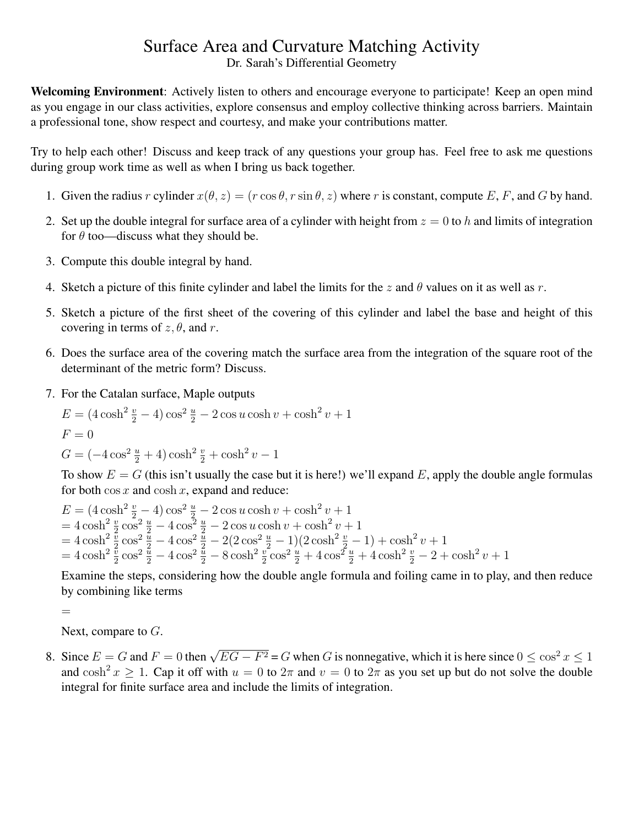## Surface Area and Curvature Matching Activity

Dr. Sarah's Differential Geometry

Welcoming Environment: Actively listen to others and encourage everyone to participate! Keep an open mind as you engage in our class activities, explore consensus and employ collective thinking across barriers. Maintain a professional tone, show respect and courtesy, and make your contributions matter.

Try to help each other! Discuss and keep track of any questions your group has. Feel free to ask me questions during group work time as well as when I bring us back together.

- 1. Given the radius r cylinder  $x(\theta, z) = (r \cos \theta, r \sin \theta, z)$  where r is constant, compute E, F, and G by hand.
- 2. Set up the double integral for surface area of a cylinder with height from  $z = 0$  to h and limits of integration for  $\theta$  too—discuss what they should be.
- 3. Compute this double integral by hand.
- 4. Sketch a picture of this finite cylinder and label the limits for the z and  $\theta$  values on it as well as r.
- 5. Sketch a picture of the first sheet of the covering of this cylinder and label the base and height of this covering in terms of  $z, \theta$ , and r.
- 6. Does the surface area of the covering match the surface area from the integration of the square root of the determinant of the metric form? Discuss.
- 7. For the Catalan surface, Maple outputs

$$
E = (4\cosh^2 \frac{v}{2} - 4)\cos^2 \frac{u}{2} - 2\cos u \cosh v + \cosh^2 v + 1
$$
  

$$
F = 0
$$
  

$$
G = (-4\cos^2 \frac{u}{2} + 4)\cosh^2 \frac{v}{2} + \cosh^2 v - 1
$$

To show  $E = G$  (this isn't usually the case but it is here!) we'll expand E, apply the double angle formulas for both  $\cos x$  and  $\cosh x$ , expand and reduce:

$$
E = (4 \cosh^2 \frac{v}{2} - 4) \cos^2 \frac{u}{2} - 2 \cos u \cosh v + \cosh^2 v + 1
$$
  
=  $4 \cosh^2 \frac{v}{2} \cos^2 \frac{u}{2} - 4 \cos^2 \frac{u}{2} - 2 \cos u \cosh v + \cosh^2 v + 1$   
=  $4 \cosh^2 \frac{v}{2} \cos^2 \frac{u}{2} - 4 \cos^2 \frac{u}{2} - 2(2 \cos^2 \frac{u}{2} - 1)(2 \cosh^2 \frac{v}{2} - 1) + \cosh^2 v + 1$   
=  $4 \cosh^2 \frac{v}{2} \cos^2 \frac{u}{2} - 4 \cos^2 \frac{u}{2} - 8 \cosh^2 \frac{v}{2} \cos^2 \frac{u}{2} + 4 \cos^2 \frac{u}{2} + 4 \cosh^2 \frac{v}{2} - 2 + \cosh^2 v + 1$ 

Examine the steps, considering how the double angle formula and foiling came in to play, and then reduce by combining like terms

=

Next, compare to  $G$ .

8. Since  $E = G$  and  $F = 0$  then  $\sqrt{EG - F^2} = G$  when G is nonnegative, which it is here since  $0 \le \cos^2 x \le 1$ and  $\cosh^2 x \ge 1$ . Cap it off with  $u = 0$  to  $2\pi$  and  $v = 0$  to  $2\pi$  as you set up but do not solve the double integral for finite surface area and include the limits of integration.